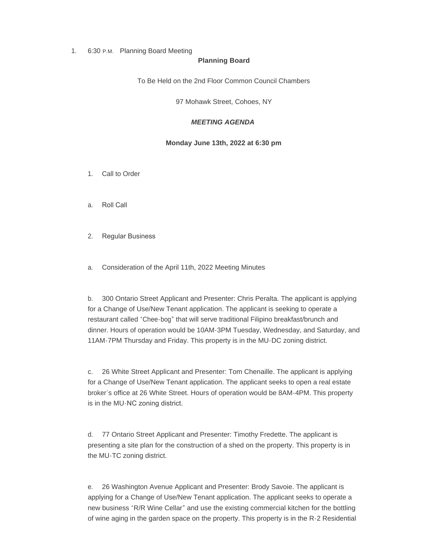## 1. 6:30 P.M. Planning Board Meeting

#### **Planning Board**

To Be Held on the 2nd Floor Common Council Chambers

97 Mohawk Street, Cohoes, NY

# *MEETING AGENDA*

### **Monday June 13th, 2022 at 6:30 pm**

- 1. Call to Order
- a. Roll Call
- 2. Regular Business
- a. Consideration of the April 11th, 2022 Meeting Minutes

b. 300 Ontario Street Applicant and Presenter: Chris Peralta. The applicant is applying for a Change of Use/New Tenant application. The applicant is seeking to operate a restaurant called "Chee-bog" that will serve traditional Filipino breakfast/brunch and dinner. Hours of operation would be 10AM-3PM Tuesday, Wednesday, and Saturday, and 11AM-7PM Thursday and Friday. This property is in the MU-DC zoning district.

c. 26 White Street Applicant and Presenter: Tom Chenaille. The applicant is applying for a Change of Use/New Tenant application. The applicant seeks to open a real estate broker's office at 26 White Street. Hours of operation would be 8AM-4PM. This property is in the MU-NC zoning district.

d. 77 Ontario Street Applicant and Presenter: Timothy Fredette. The applicant is presenting a site plan for the construction of a shed on the property. This property is in the MU-TC zoning district.

e. 26 Washington Avenue Applicant and Presenter: Brody Savoie. The applicant is applying for a Change of Use/New Tenant application. The applicant seeks to operate a new business "R/R Wine Cellar" and use the existing commercial kitchen for the bottling of wine aging in the garden space on the property. This property is in the R-2 Residential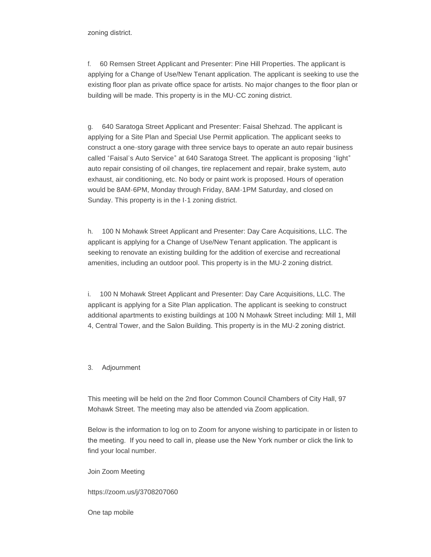zoning district.

f. 60 Remsen Street Applicant and Presenter: Pine Hill Properties. The applicant is applying for a Change of Use/New Tenant application. The applicant is seeking to use the existing floor plan as private office space for artists. No major changes to the floor plan or building will be made. This property is in the MU-CC zoning district.

g. 640 Saratoga Street Applicant and Presenter: Faisal Shehzad. The applicant is applying for a Site Plan and Special Use Permit application. The applicant seeks to construct a one-story garage with three service bays to operate an auto repair business called "Faisal's Auto Service" at 640 Saratoga Street. The applicant is proposing "light" auto repair consisting of oil changes, tire replacement and repair, brake system, auto exhaust, air conditioning, etc. No body or paint work is proposed. Hours of operation would be 8AM-6PM, Monday through Friday, 8AM-1PM Saturday, and closed on Sunday. This property is in the I-1 zoning district.

h. 100 N Mohawk Street Applicant and Presenter: Day Care Acquisitions, LLC. The applicant is applying for a Change of Use/New Tenant application. The applicant is seeking to renovate an existing building for the addition of exercise and recreational amenities, including an outdoor pool. This property is in the MU-2 zoning district.

i. 100 N Mohawk Street Applicant and Presenter: Day Care Acquisitions, LLC. The applicant is applying for a Site Plan application. The applicant is seeking to construct additional apartments to existing buildings at 100 N Mohawk Street including: Mill 1, Mill 4, Central Tower, and the Salon Building. This property is in the MU-2 zoning district.

3. Adjournment

This meeting will be held on the 2nd floor Common Council Chambers of City Hall, 97 Mohawk Street. The meeting may also be attended via Zoom application.

Below is the information to log on to Zoom for anyone wishing to participate in or listen to the meeting. If you need to call in, please use the New York number or click the link to find your local number.

Join Zoom Meeting

https://zoom.us/j/3708207060

One tap mobile